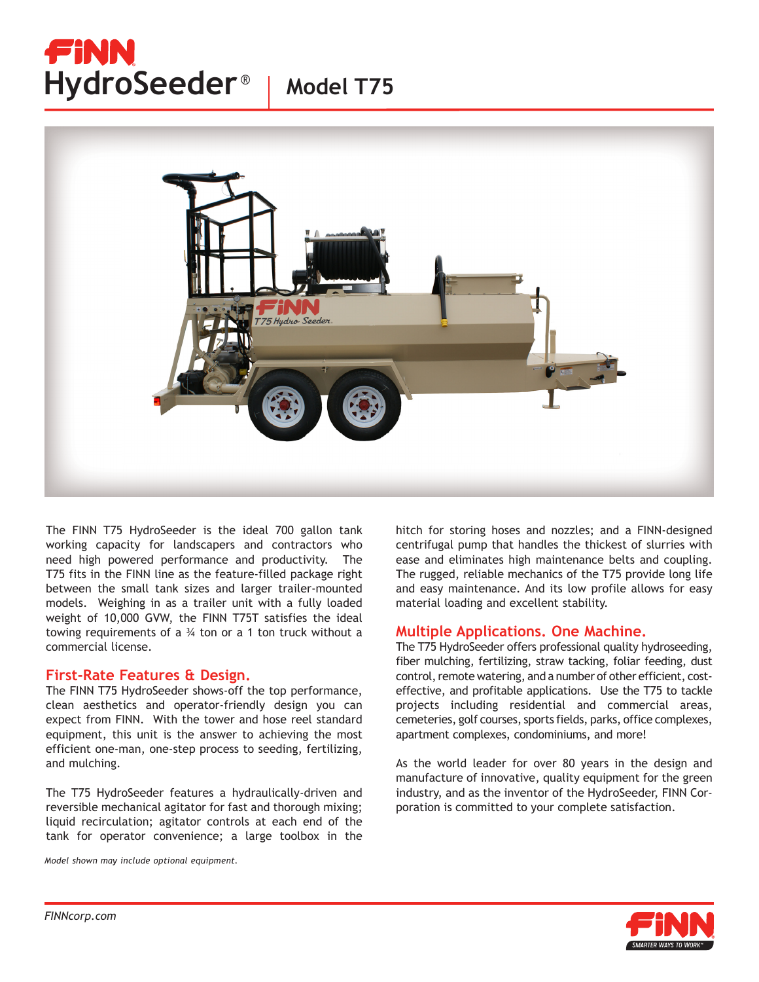## FiNN HydroSeeder<sup>®</sup> | Model T75





The FINN T75 HydroSeeder is the ideal 700 gallon tank working capacity for landscapers and contractors who need high powered performance and productivity. The T75 fits in the FINN line as the feature-filled package right between the small tank sizes and larger trailer-mounted models. Weighing in as a trailer unit with a fully loaded weight of 10,000 GVW, the FINN T75T satisfies the ideal towing requirements of a  $\frac{3}{4}$  ton or a 1 ton truck without a commercial license.

## **First-Rate Features & Design.**

The FINN T75 HydroSeeder shows-off the top performance, clean aesthetics and operator-friendly design you can expect from FINN. With the tower and hose reel standard equipment, this unit is the answer to achieving the most efficient one-man, one-step process to seeding, fertilizing, and mulching.

The T75 HydroSeeder features a hydraulically-driven and reversible mechanical agitator for fast and thorough mixing; liquid recirculation; agitator controls at each end of the tank for operator convenience; a large toolbox in the

*Model shown may include optional equipment.*

hitch for storing hoses and nozzles; and a FINN-designed centrifugal pump that handles the thickest of slurries with ease and eliminates high maintenance belts and coupling. The rugged, reliable mechanics of the T75 provide long life and easy maintenance. And its low profile allows for easy material loading and excellent stability.

## **Multiple Applications. One Machine.**

The T75 HydroSeeder offers professional quality hydroseeding, fiber mulching, fertilizing, straw tacking, foliar feeding, dust control, remote watering, and a number of other efficient, costeffective, and profitable applications. Use the T75 to tackle projects including residential and commercial areas, cemeteries, golf courses, sports fields, parks, office complexes, apartment complexes, condominiums, and more!

As the world leader for over 80 years in the design and manufacture of innovative, quality equipment for the green industry, and as the inventor of the HydroSeeder, FINN Corporation is committed to your complete satisfaction.